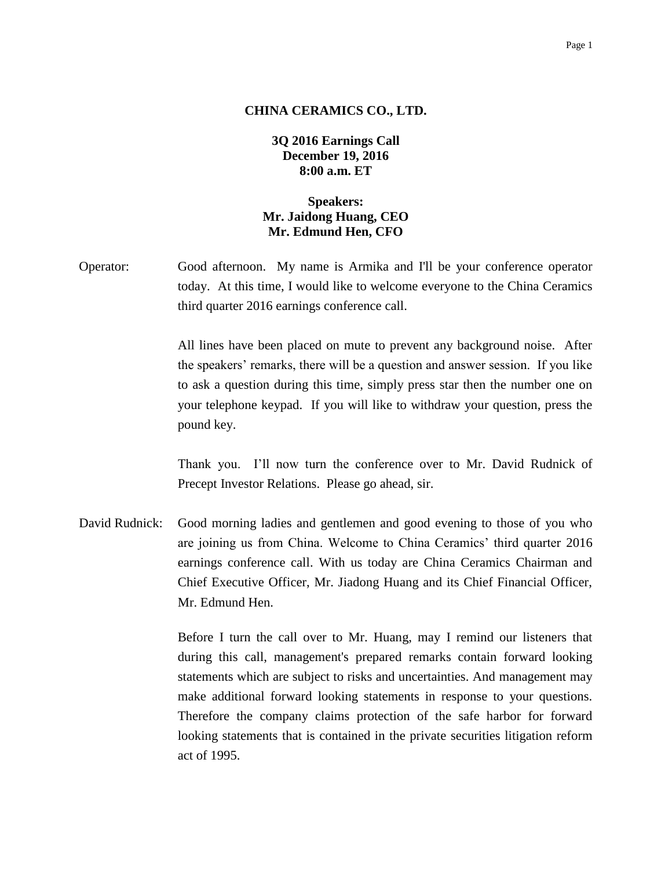#### **CHINA CERAMICS CO., LTD.**

# **3Q 2016 Earnings Call December 19, 2016 8:00 a.m. ET**

# **Speakers: Mr. Jaidong Huang, CEO Mr. Edmund Hen, CFO**

Operator: Good afternoon. My name is Armika and I'll be your conference operator today. At this time, I would like to welcome everyone to the China Ceramics third quarter 2016 earnings conference call.

> All lines have been placed on mute to prevent any background noise. After the speakers' remarks, there will be a question and answer session. If you like to ask a question during this time, simply press star then the number one on your telephone keypad. If you will like to withdraw your question, press the pound key.

> Thank you. I'll now turn the conference over to Mr. David Rudnick of Precept Investor Relations. Please go ahead, sir.

David Rudnick: Good morning ladies and gentlemen and good evening to those of you who are joining us from China. Welcome to China Ceramics' third quarter 2016 earnings conference call. With us today are China Ceramics Chairman and Chief Executive Officer, Mr. Jiadong Huang and its Chief Financial Officer, Mr. Edmund Hen.

> Before I turn the call over to Mr. Huang, may I remind our listeners that during this call, management's prepared remarks contain forward looking statements which are subject to risks and uncertainties. And management may make additional forward looking statements in response to your questions. Therefore the company claims protection of the safe harbor for forward looking statements that is contained in the private securities litigation reform act of 1995.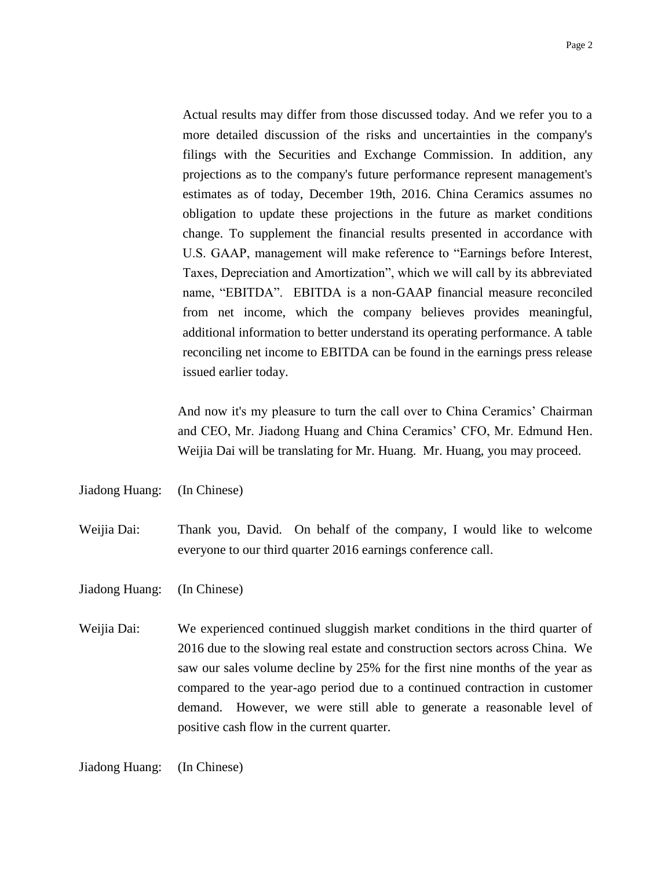Actual results may differ from those discussed today. And we refer you to a more detailed discussion of the risks and uncertainties in the company's filings with the Securities and Exchange Commission. In addition, any projections as to the company's future performance represent management's estimates as of today, December 19th, 2016. China Ceramics assumes no obligation to update these projections in the future as market conditions change. To supplement the financial results presented in accordance with U.S. GAAP, management will make reference to "Earnings before Interest, Taxes, Depreciation and Amortization", which we will call by its abbreviated name, "EBITDA". EBITDA is a non-GAAP financial measure reconciled from net income, which the company believes provides meaningful, additional information to better understand its operating performance. A table reconciling net income to EBITDA can be found in the earnings press release issued earlier today.

And now it's my pleasure to turn the call over to China Ceramics' Chairman and CEO, Mr. Jiadong Huang and China Ceramics' CFO, Mr. Edmund Hen. Weijia Dai will be translating for Mr. Huang. Mr. Huang, you may proceed.

Jiadong Huang: (In Chinese)

Weijia Dai: Thank you, David. On behalf of the company, I would like to welcome everyone to our third quarter 2016 earnings conference call.

Jiadong Huang: (In Chinese)

Weijia Dai: We experienced continued sluggish market conditions in the third quarter of 2016 due to the slowing real estate and construction sectors across China. We saw our sales volume decline by 25% for the first nine months of the year as compared to the year-ago period due to a continued contraction in customer demand. However, we were still able to generate a reasonable level of positive cash flow in the current quarter.

Jiadong Huang: (In Chinese)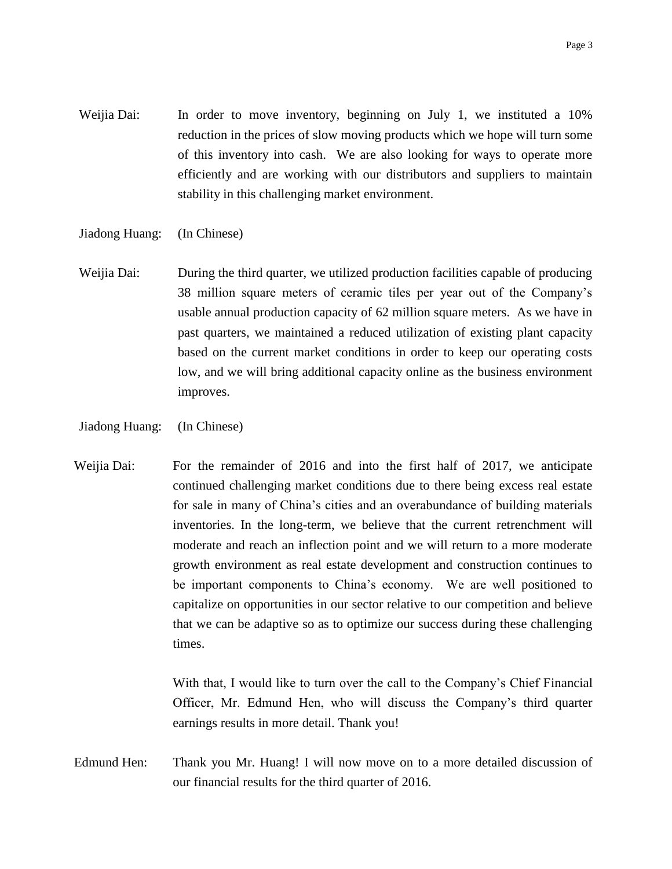- Weijia Dai: In order to move inventory, beginning on July 1, we instituted a 10% reduction in the prices of slow moving products which we hope will turn some of this inventory into cash. We are also looking for ways to operate more efficiently and are working with our distributors and suppliers to maintain stability in this challenging market environment.
- Jiadong Huang: (In Chinese)
- Weijia Dai: During the third quarter, we utilized production facilities capable of producing 38 million square meters of ceramic tiles per year out of the Company's usable annual production capacity of 62 million square meters. As we have in past quarters, we maintained a reduced utilization of existing plant capacity based on the current market conditions in order to keep our operating costs low, and we will bring additional capacity online as the business environment improves.
- Jiadong Huang: (In Chinese)
- Weijia Dai: For the remainder of 2016 and into the first half of 2017, we anticipate continued challenging market conditions due to there being excess real estate for sale in many of China's cities and an overabundance of building materials inventories. In the long-term, we believe that the current retrenchment will moderate and reach an inflection point and we will return to a more moderate growth environment as real estate development and construction continues to be important components to China's economy. We are well positioned to capitalize on opportunities in our sector relative to our competition and believe that we can be adaptive so as to optimize our success during these challenging times.

With that, I would like to turn over the call to the Company's Chief Financial Officer, Mr. Edmund Hen, who will discuss the Company's third quarter earnings results in more detail. Thank you!

Edmund Hen: Thank you Mr. Huang! I will now move on to a more detailed discussion of our financial results for the third quarter of 2016.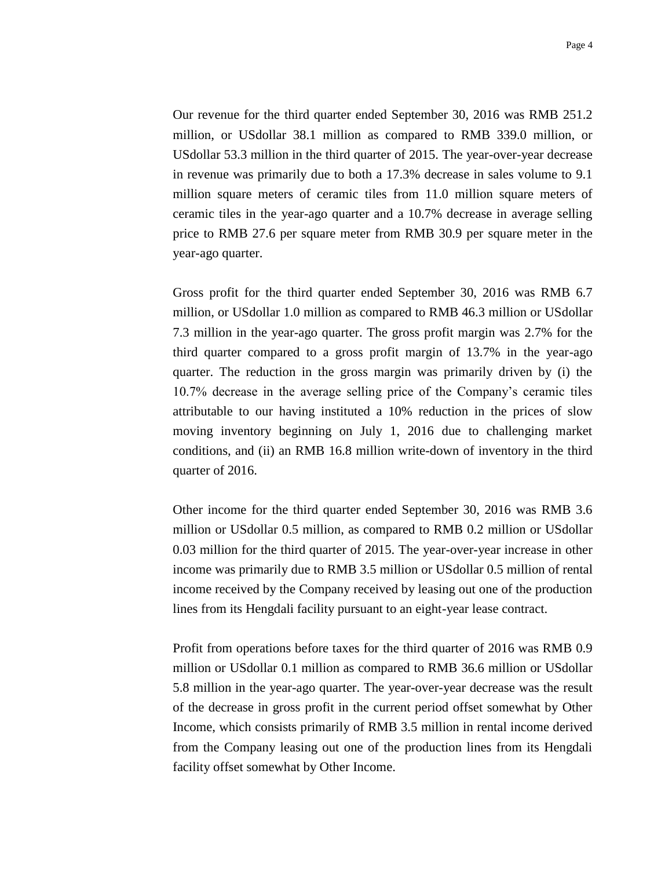Our revenue for the third quarter ended September 30, 2016 was RMB 251.2 million, or USdollar 38.1 million as compared to RMB 339.0 million, or USdollar 53.3 million in the third quarter of 2015. The year-over-year decrease in revenue was primarily due to both a 17.3% decrease in sales volume to 9.1 million square meters of ceramic tiles from 11.0 million square meters of ceramic tiles in the year-ago quarter and a 10.7% decrease in average selling price to RMB 27.6 per square meter from RMB 30.9 per square meter in the year-ago quarter.

Gross profit for the third quarter ended September 30, 2016 was RMB 6.7 million, or USdollar 1.0 million as compared to RMB 46.3 million or USdollar 7.3 million in the year-ago quarter. The gross profit margin was 2.7% for the third quarter compared to a gross profit margin of 13.7% in the year-ago quarter. The reduction in the gross margin was primarily driven by (i) the 10.7% decrease in the average selling price of the Company's ceramic tiles attributable to our having instituted a 10% reduction in the prices of slow moving inventory beginning on July 1, 2016 due to challenging market conditions, and (ii) an RMB 16.8 million write-down of inventory in the third quarter of 2016.

Other income for the third quarter ended September 30, 2016 was RMB 3.6 million or USdollar 0.5 million, as compared to RMB 0.2 million or USdollar 0.03 million for the third quarter of 2015. The year-over-year increase in other income was primarily due to RMB 3.5 million or USdollar 0.5 million of rental income received by the Company received by leasing out one of the production lines from its Hengdali facility pursuant to an eight-year lease contract.

Profit from operations before taxes for the third quarter of 2016 was RMB 0.9 million or USdollar 0.1 million as compared to RMB 36.6 million or USdollar 5.8 million in the year-ago quarter. The year-over-year decrease was the result of the decrease in gross profit in the current period offset somewhat by Other Income, which consists primarily of RMB 3.5 million in rental income derived from the Company leasing out one of the production lines from its Hengdali facility offset somewhat by Other Income.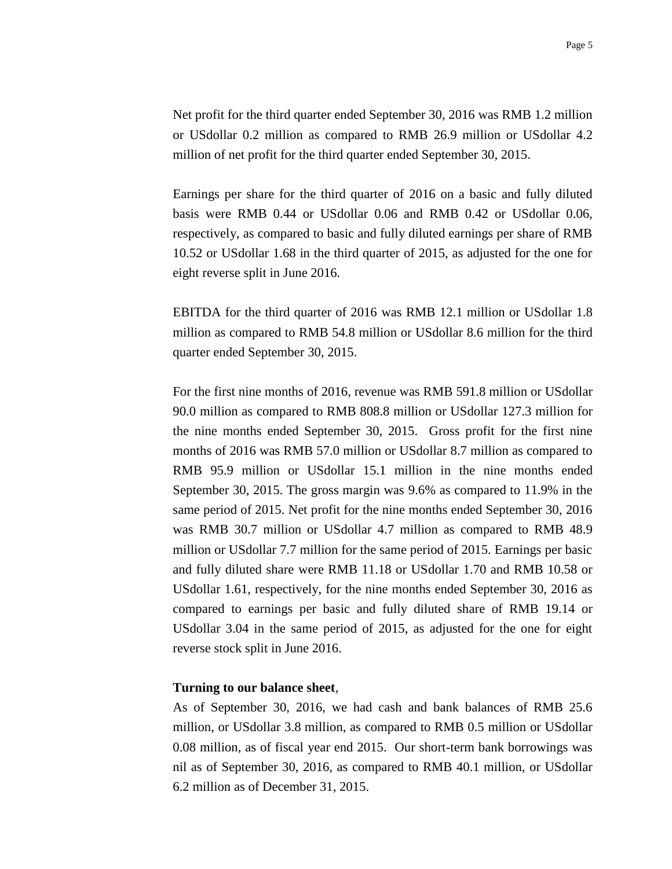Net profit for the third quarter ended September 30, 2016 was RMB 1.2 million or USdollar 0.2 million as compared to RMB 26.9 million or USdollar 4.2 million of net profit for the third quarter ended September 30, 2015.

Earnings per share for the third quarter of 2016 on a basic and fully diluted basis were RMB 0.44 or USdollar 0.06 and RMB 0.42 or USdollar 0.06, respectively, as compared to basic and fully diluted earnings per share of RMB 10.52 or USdollar 1.68 in the third quarter of 2015, as adjusted for the one for eight reverse split in June 2016.

EBITDA for the third quarter of 2016 was RMB 12.1 million or USdollar 1.8 million as compared to RMB 54.8 million or USdollar 8.6 million for the third quarter ended September 30, 2015.

For the first nine months of 2016, revenue was RMB 591.8 million or USdollar 90.0 million as compared to RMB 808.8 million or USdollar 127.3 million for the nine months ended September 30, 2015. Gross profit for the first nine months of 2016 was RMB 57.0 million or USdollar 8.7 million as compared to RMB 95.9 million or USdollar 15.1 million in the nine months ended September 30, 2015. The gross margin was 9.6% as compared to 11.9% in the same period of 2015. Net profit for the nine months ended September 30, 2016 was RMB 30.7 million or USdollar 4.7 million as compared to RMB 48.9 million or USdollar 7.7 million for the same period of 2015. Earnings per basic and fully diluted share were RMB 11.18 or USdollar 1.70 and RMB 10.58 or USdollar 1.61, respectively, for the nine months ended September 30, 2016 as compared to earnings per basic and fully diluted share of RMB 19.14 or USdollar 3.04 in the same period of 2015, as adjusted for the one for eight reverse stock split in June 2016.

#### **Turning to our balance sheet**,

As of September 30, 2016, we had cash and bank balances of RMB 25.6 million, or USdollar 3.8 million, as compared to RMB 0.5 million or USdollar 0.08 million, as of fiscal year end 2015. Our short-term bank borrowings was nil as of September 30, 2016, as compared to RMB 40.1 million, or USdollar 6.2 million as of December 31, 2015.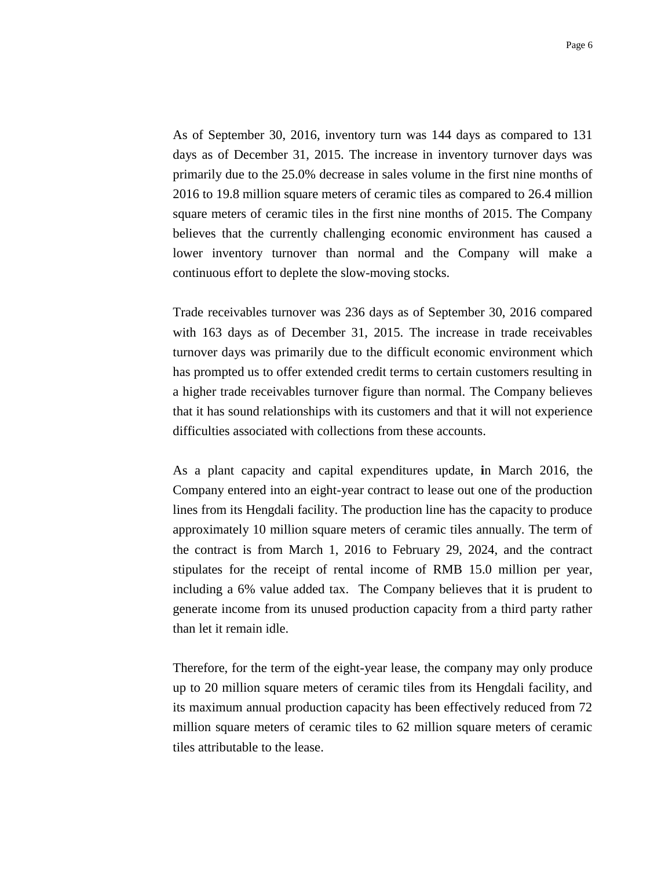As of September 30, 2016, inventory turn was 144 days as compared to 131 days as of December 31, 2015. The increase in inventory turnover days was primarily due to the 25.0% decrease in sales volume in the first nine months of 2016 to 19.8 million square meters of ceramic tiles as compared to 26.4 million square meters of ceramic tiles in the first nine months of 2015. The Company believes that the currently challenging economic environment has caused a lower inventory turnover than normal and the Company will make a continuous effort to deplete the slow-moving stocks.

Trade receivables turnover was 236 days as of September 30, 2016 compared with 163 days as of December 31, 2015. The increase in trade receivables turnover days was primarily due to the difficult economic environment which has prompted us to offer extended credit terms to certain customers resulting in a higher trade receivables turnover figure than normal. The Company believes that it has sound relationships with its customers and that it will not experience difficulties associated with collections from these accounts.

As a plant capacity and capital expenditures update, **i**n March 2016, the Company entered into an eight-year contract to lease out one of the production lines from its Hengdali facility. The production line has the capacity to produce approximately 10 million square meters of ceramic tiles annually. The term of the contract is from March 1, 2016 to February 29, 2024, and the contract stipulates for the receipt of rental income of RMB 15.0 million per year, including a 6% value added tax. The Company believes that it is prudent to generate income from its unused production capacity from a third party rather than let it remain idle.

Therefore, for the term of the eight-year lease, the company may only produce up to 20 million square meters of ceramic tiles from its Hengdali facility, and its maximum annual production capacity has been effectively reduced from 72 million square meters of ceramic tiles to 62 million square meters of ceramic tiles attributable to the lease.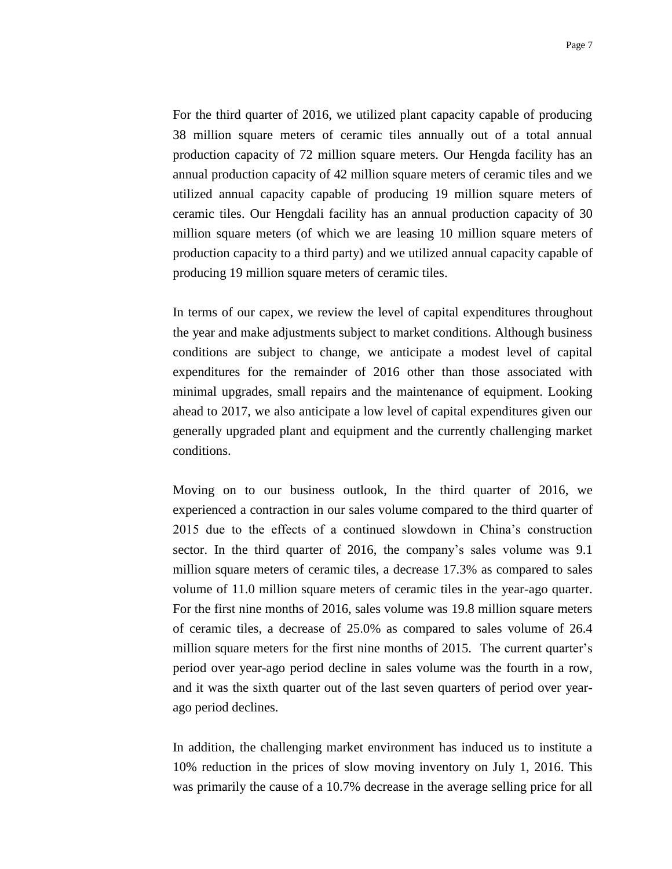For the third quarter of 2016, we utilized plant capacity capable of producing 38 million square meters of ceramic tiles annually out of a total annual production capacity of 72 million square meters. Our Hengda facility has an annual production capacity of 42 million square meters of ceramic tiles and we utilized annual capacity capable of producing 19 million square meters of ceramic tiles. Our Hengdali facility has an annual production capacity of 30 million square meters (of which we are leasing 10 million square meters of production capacity to a third party) and we utilized annual capacity capable of producing 19 million square meters of ceramic tiles.

In terms of our capex, we review the level of capital expenditures throughout the year and make adjustments subject to market conditions. Although business conditions are subject to change, we anticipate a modest level of capital expenditures for the remainder of 2016 other than those associated with minimal upgrades, small repairs and the maintenance of equipment. Looking ahead to 2017, we also anticipate a low level of capital expenditures given our generally upgraded plant and equipment and the currently challenging market conditions.

Moving on to our business outlook, In the third quarter of 2016, we experienced a contraction in our sales volume compared to the third quarter of 2015 due to the effects of a continued slowdown in China's construction sector. In the third quarter of 2016, the company's sales volume was 9.1 million square meters of ceramic tiles, a decrease 17.3% as compared to sales volume of 11.0 million square meters of ceramic tiles in the year-ago quarter. For the first nine months of 2016, sales volume was 19.8 million square meters of ceramic tiles, a decrease of 25.0% as compared to sales volume of 26.4 million square meters for the first nine months of 2015. The current quarter's period over year-ago period decline in sales volume was the fourth in a row, and it was the sixth quarter out of the last seven quarters of period over yearago period declines.

In addition, the challenging market environment has induced us to institute a 10% reduction in the prices of slow moving inventory on July 1, 2016. This was primarily the cause of a 10.7% decrease in the average selling price for all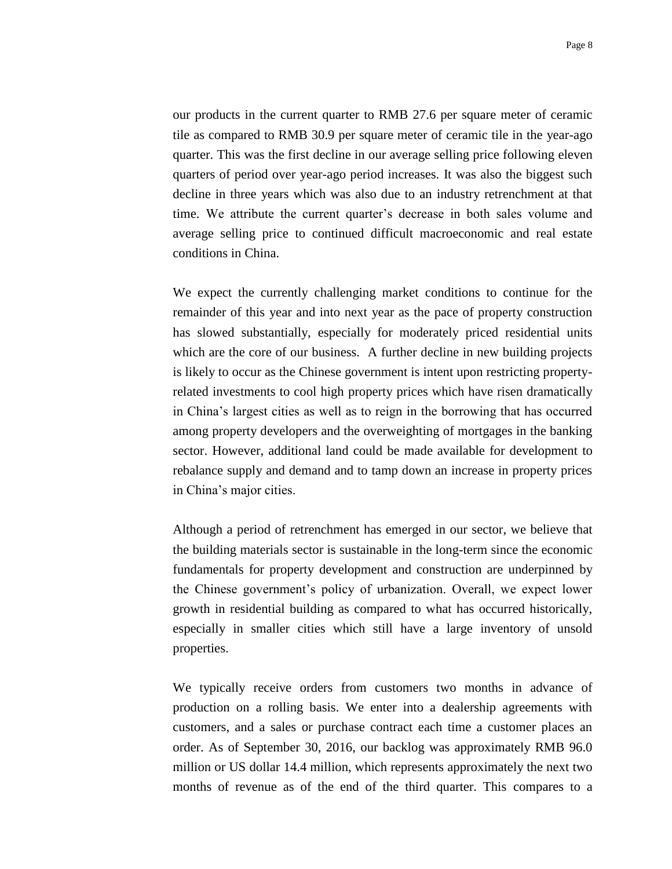our products in the current quarter to RMB 27.6 per square meter of ceramic tile as compared to RMB 30.9 per square meter of ceramic tile in the year-ago quarter. This was the first decline in our average selling price following eleven quarters of period over year-ago period increases. It was also the biggest such decline in three years which was also due to an industry retrenchment at that time. We attribute the current quarter's decrease in both sales volume and average selling price to continued difficult macroeconomic and real estate conditions in China.

We expect the currently challenging market conditions to continue for the remainder of this year and into next year as the pace of property construction has slowed substantially, especially for moderately priced residential units which are the core of our business. A further decline in new building projects is likely to occur as the Chinese government is intent upon restricting propertyrelated investments to cool high property prices which have risen dramatically in China's largest cities as well as to reign in the borrowing that has occurred among property developers and the overweighting of mortgages in the banking sector. However, additional land could be made available for development to rebalance supply and demand and to tamp down an increase in property prices in China's major cities.

Although a period of retrenchment has emerged in our sector, we believe that the building materials sector is sustainable in the long-term since the economic fundamentals for property development and construction are underpinned by the Chinese government's policy of urbanization. Overall, we expect lower growth in residential building as compared to what has occurred historically, especially in smaller cities which still have a large inventory of unsold properties.

We typically receive orders from customers two months in advance of production on a rolling basis. We enter into a dealership agreements with customers, and a sales or purchase contract each time a customer places an order. As of September 30, 2016, our backlog was approximately RMB 96.0 million or US dollar 14.4 million, which represents approximately the next two months of revenue as of the end of the third quarter. This compares to a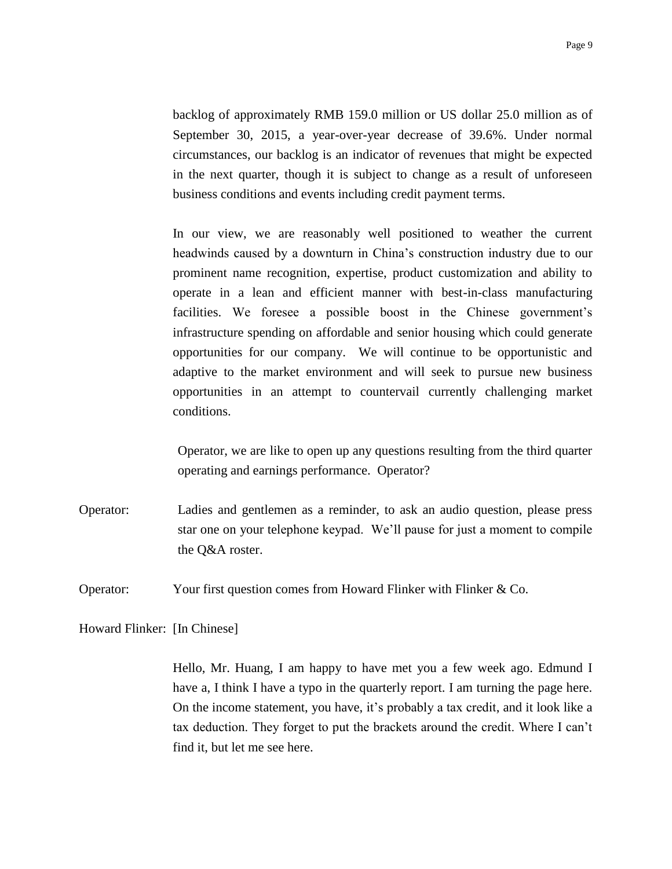backlog of approximately RMB 159.0 million or US dollar 25.0 million as of September 30, 2015, a year-over-year decrease of 39.6%. Under normal circumstances, our backlog is an indicator of revenues that might be expected in the next quarter, though it is subject to change as a result of unforeseen business conditions and events including credit payment terms.

In our view, we are reasonably well positioned to weather the current headwinds caused by a downturn in China's construction industry due to our prominent name recognition, expertise, product customization and ability to operate in a lean and efficient manner with best-in-class manufacturing facilities. We foresee a possible boost in the Chinese government's infrastructure spending on affordable and senior housing which could generate opportunities for our company. We will continue to be opportunistic and adaptive to the market environment and will seek to pursue new business opportunities in an attempt to countervail currently challenging market conditions.

Operator, we are like to open up any questions resulting from the third quarter operating and earnings performance. Operator?

Operator: Ladies and gentlemen as a reminder, to ask an audio question, please press star one on your telephone keypad. We'll pause for just a moment to compile the Q&A roster.

Operator: Your first question comes from Howard Flinker with Flinker & Co.

Howard Flinker: [In Chinese]

Hello, Mr. Huang, I am happy to have met you a few week ago. Edmund I have a, I think I have a typo in the quarterly report. I am turning the page here. On the income statement, you have, it's probably a tax credit, and it look like a tax deduction. They forget to put the brackets around the credit. Where I can't find it, but let me see here.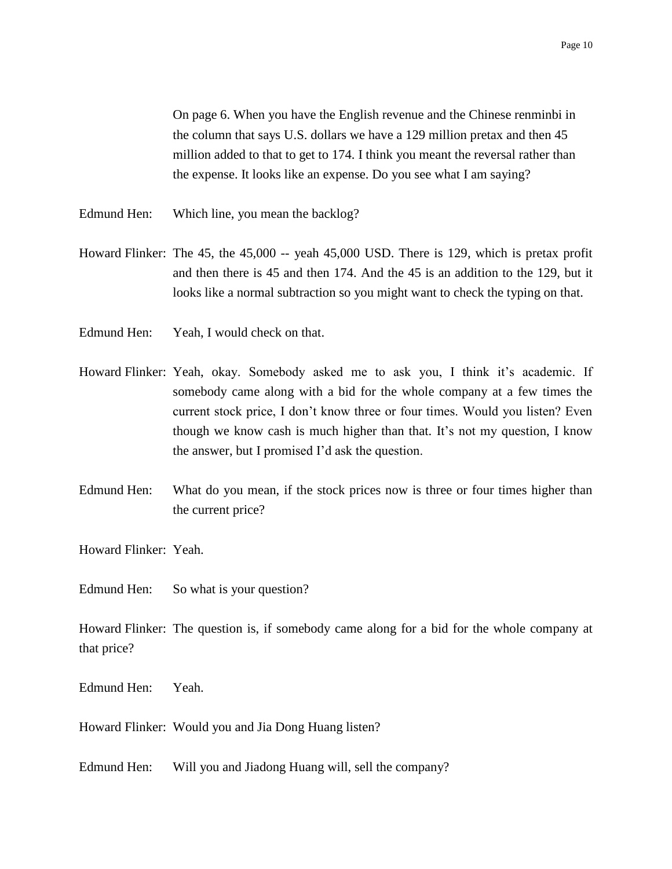On page 6. When you have the English revenue and the Chinese renminbi in the column that says U.S. dollars we have a 129 million pretax and then 45 million added to that to get to 174. I think you meant the reversal rather than the expense. It looks like an expense. Do you see what I am saying?

- Edmund Hen: Which line, you mean the backlog?
- Howard Flinker: The 45, the 45,000 -- yeah 45,000 USD. There is 129, which is pretax profit and then there is 45 and then 174. And the 45 is an addition to the 129, but it looks like a normal subtraction so you might want to check the typing on that.
- Edmund Hen: Yeah, I would check on that.
- Howard Flinker: Yeah, okay. Somebody asked me to ask you, I think it's academic. If somebody came along with a bid for the whole company at a few times the current stock price, I don't know three or four times. Would you listen? Even though we know cash is much higher than that. It's not my question, I know the answer, but I promised I'd ask the question.
- Edmund Hen: What do you mean, if the stock prices now is three or four times higher than the current price?

Howard Flinker: Yeah.

Edmund Hen: So what is your question?

Howard Flinker: The question is, if somebody came along for a bid for the whole company at that price?

Edmund Hen: Yeah.

Howard Flinker: Would you and Jia Dong Huang listen?

Edmund Hen: Will you and Jiadong Huang will, sell the company?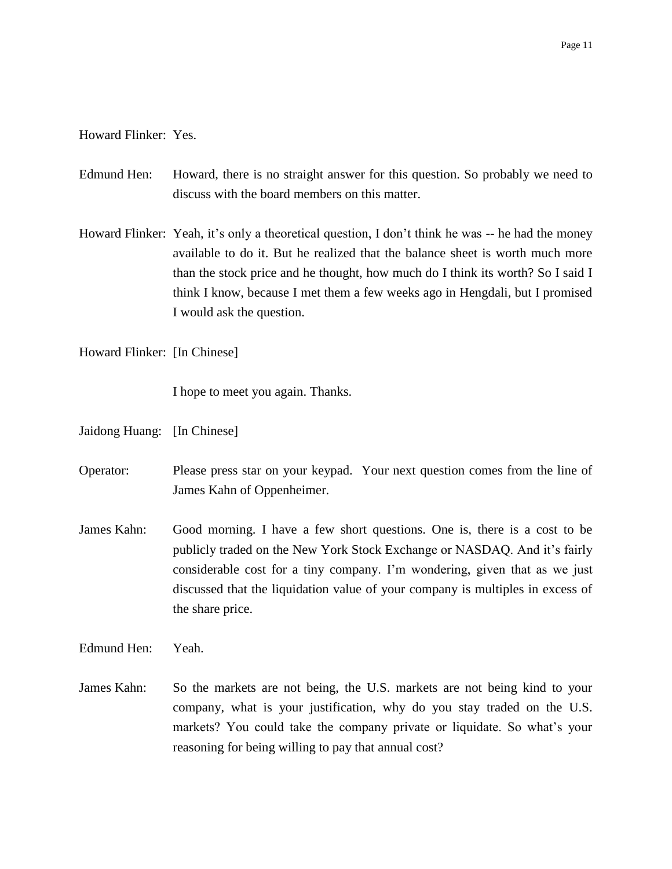### Howard Flinker: Yes.

- Edmund Hen: Howard, there is no straight answer for this question. So probably we need to discuss with the board members on this matter.
- Howard Flinker: Yeah, it's only a theoretical question, I don't think he was -- he had the money available to do it. But he realized that the balance sheet is worth much more than the stock price and he thought, how much do I think its worth? So I said I think I know, because I met them a few weeks ago in Hengdali, but I promised I would ask the question.

Howard Flinker: [In Chinese]

I hope to meet you again. Thanks.

- Jaidong Huang: [In Chinese]
- Operator: Please press star on your keypad. Your next question comes from the line of James Kahn of Oppenheimer.
- James Kahn: Good morning. I have a few short questions. One is, there is a cost to be publicly traded on the New York Stock Exchange or NASDAQ. And it's fairly considerable cost for a tiny company. I'm wondering, given that as we just discussed that the liquidation value of your company is multiples in excess of the share price.

Edmund Hen: Yeah.

James Kahn: So the markets are not being, the U.S. markets are not being kind to your company, what is your justification, why do you stay traded on the U.S. markets? You could take the company private or liquidate. So what's your reasoning for being willing to pay that annual cost?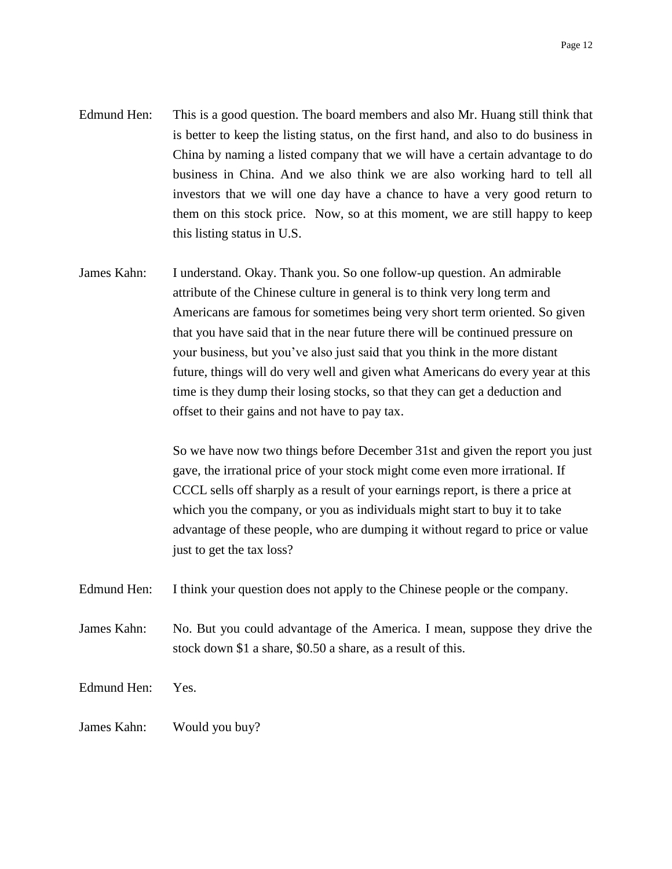- Edmund Hen: This is a good question. The board members and also Mr. Huang still think that is better to keep the listing status, on the first hand, and also to do business in China by naming a listed company that we will have a certain advantage to do business in China. And we also think we are also working hard to tell all investors that we will one day have a chance to have a very good return to them on this stock price. Now, so at this moment, we are still happy to keep this listing status in U.S.
- James Kahn: I understand. Okay. Thank you. So one follow-up question. An admirable attribute of the Chinese culture in general is to think very long term and Americans are famous for sometimes being very short term oriented. So given that you have said that in the near future there will be continued pressure on your business, but you've also just said that you think in the more distant future, things will do very well and given what Americans do every year at this time is they dump their losing stocks, so that they can get a deduction and offset to their gains and not have to pay tax.

So we have now two things before December 31st and given the report you just gave, the irrational price of your stock might come even more irrational. If CCCL sells off sharply as a result of your earnings report, is there a price at which you the company, or you as individuals might start to buy it to take advantage of these people, who are dumping it without regard to price or value just to get the tax loss?

Edmund Hen: I think your question does not apply to the Chinese people or the company.

James Kahn: No. But you could advantage of the America. I mean, suppose they drive the stock down \$1 a share, \$0.50 a share, as a result of this.

Edmund Hen: Yes.

James Kahn: Would you buy?